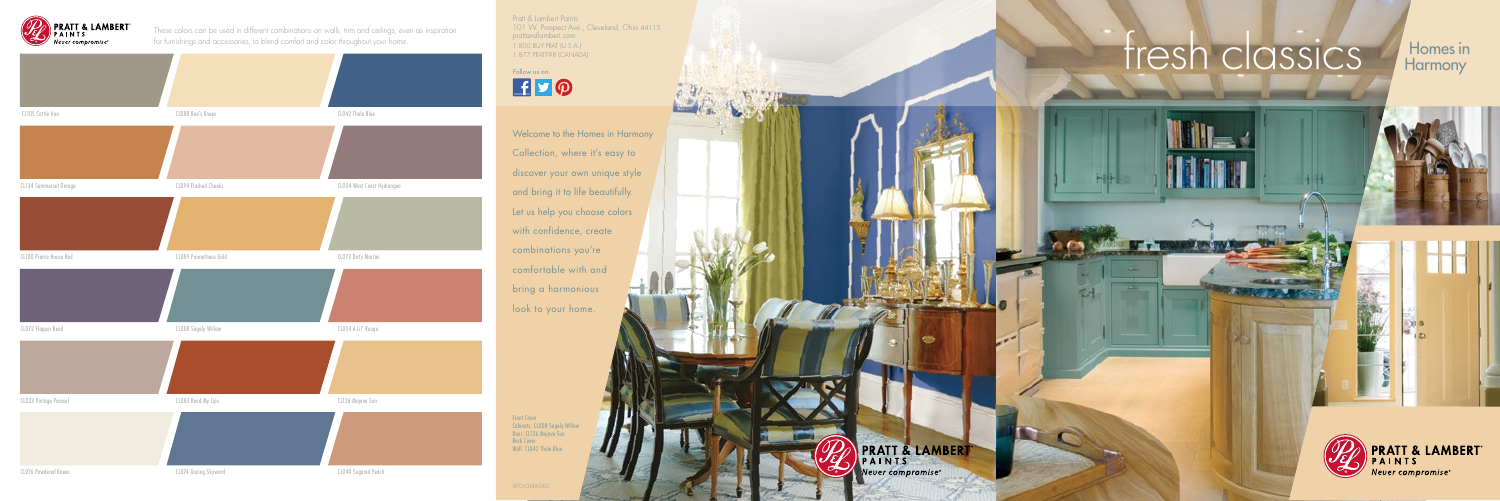## TASOO BUYERAT (U.S.A.)<br>TRING USING CANADA) **for a company of the start of the start of the start of the start of the start of the start of the start of the start of the start of the start of the start of the start of the s**

the party named in column 2 is not the owner.

even avera.

**Harmony** 





Welcome to the Homes in Harmony Collection, where it's easy to discover your own unique style and bring it to life beautifully. Let us help you choose colors with confidence, create combinations you're comfortable with and bring a harmonious look to your home.



These colors can be used in different combinations on walls, trim and ceilings, even as inspiration for furnishings and accessories, to blend comfort and color throughout your home.

> **Front Cover** Cabinets: CL008 Sagely Willow Door: CL126 Mojave Sun Back Cover Wall: CL042 Thalo Blue



Pratt & Lambert Paints 101 W. Prospect Ave., Cleveland, Ohio 44115 prattandlambert.com 1.800.BUY.PRAT (U.S.A.)<br>1.877.PRATT98 (CANADA)

Follow us on: